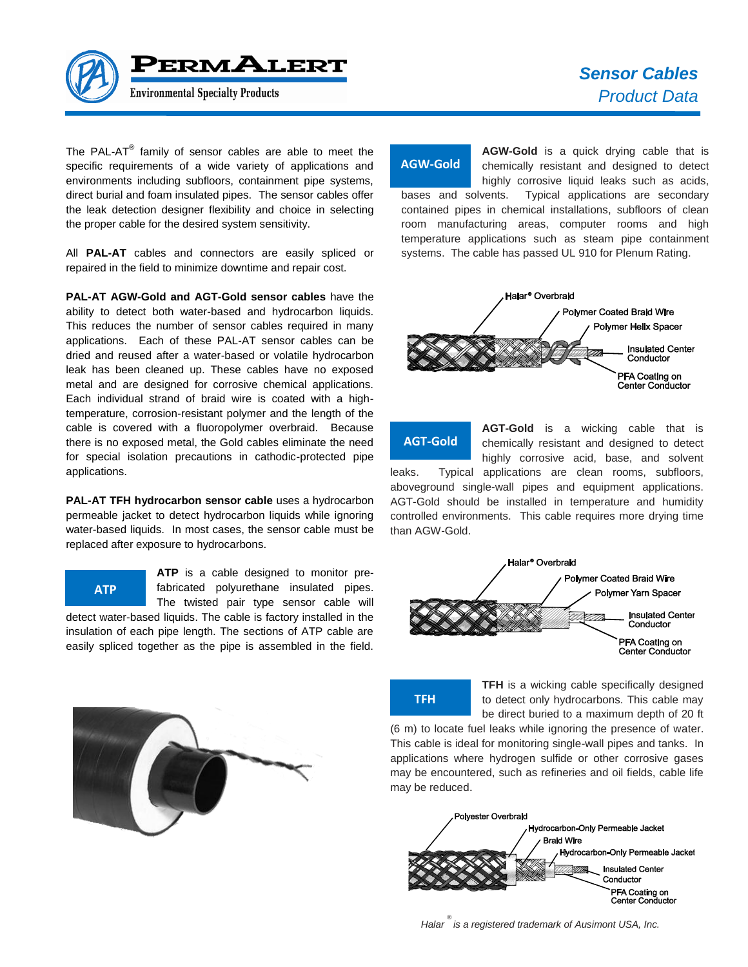

The PAL-AT $^{\circledast}$  family of sensor cables are able to meet the specific requirements of a wide variety of applications and environments including subfloors, containment pipe systems, direct burial and foam insulated pipes. The sensor cables offer the leak detection designer flexibility and choice in selecting the proper cable for the desired system sensitivity.

All **PAL-AT** cables and connectors are easily spliced or repaired in the field to minimize downtime and repair cost.

**PAL-AT AGW-Gold and AGT-Gold sensor cables** have the ability to detect both water-based and hydrocarbon liquids. This reduces the number of sensor cables required in many applications. Each of these PAL-AT sensor cables can be dried and reused after a water-based or volatile hydrocarbon leak has been cleaned up. These cables have no exposed metal and are designed for corrosive chemical applications. Each individual strand of braid wire is coated with a hightemperature, corrosion-resistant polymer and the length of the cable is covered with a fluoropolymer overbraid. Because there is no exposed metal, the Gold cables eliminate the need for special isolation precautions in cathodic-protected pipe applications.

**PAL-AT TFH hydrocarbon sensor cable** uses a hydrocarbon permeable jacket to detect hydrocarbon liquids while ignoring water-based liquids. In most cases, the sensor cable must be replaced after exposure to hydrocarbons.

**ATP** is a cable designed to monitor pre-The twisted pair type sensor cable will

detect water-based liquids. The cable is factory installed in the insulation of each pipe length. The sections of ATP cable are easily spliced together as the pipe is assembled in the field.



# **AGW-Gold**

**AGW-Gold** is a quick drying cable that is chemically resistant and designed to detect highly corrosive liquid leaks such as acids,

bases and solvents. Typical applications are secondary contained pipes in chemical installations, subfloors of clean room manufacturing areas, computer rooms and high temperature applications such as steam pipe containment systems. The cable has passed UL 910 for Plenum Rating.



**AGT-Gold**

**AGT-Gold** is a wicking cable that is chemically resistant and designed to detect highly corrosive acid, base, and solvent leaks. Typical applications are clean rooms, subfloors, aboveground single-wall pipes and equipment applications.

AGT-Gold should be installed in temperature and humidity controlled environments. This cable requires more drying time than AGW-Gold.





**TFH** is a wicking cable specifically designed to detect only hydrocarbons. This cable may be direct buried to a maximum depth of 20 ft

(6 m) to locate fuel leaks while ignoring the presence of water. This cable is ideal for monitoring single-wall pipes and tanks. In applications where hydrogen sulfide or other corrosive gases may be encountered, such as refineries and oil fields, cable life may be reduced.



*Halar ® is a registered trademark of Ausimont USA, Inc.*